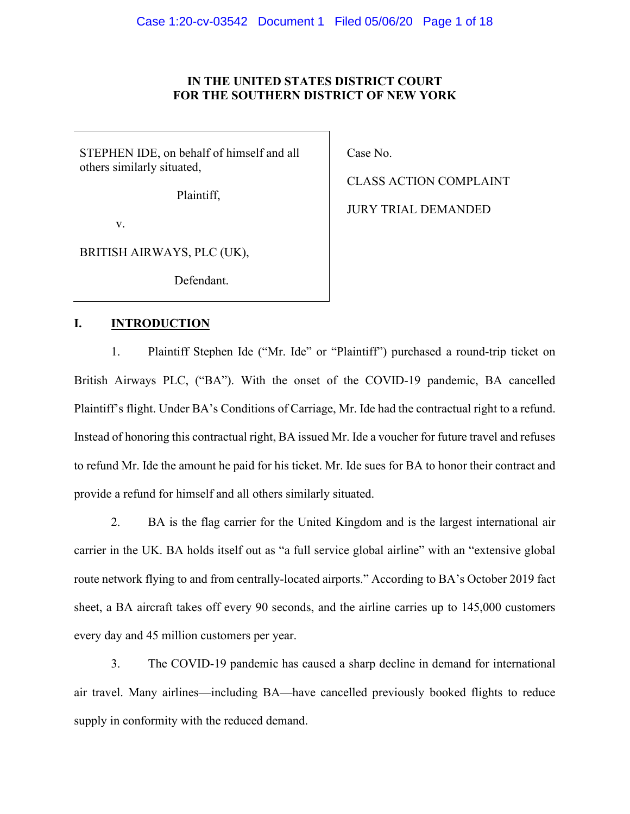# **IN THE UNITED STATES DISTRICT COURT FOR THE SOUTHERN DISTRICT OF NEW YORK**

STEPHEN IDE, on behalf of himself and all others similarly situated,

Plaintiff,

v.

BRITISH AIRWAYS, PLC (UK),

Defendant.

## **I. INTRODUCTION**

1. Plaintiff Stephen Ide ("Mr. Ide" or "Plaintiff") purchased a round-trip ticket on British Airways PLC, ("BA"). With the onset of the COVID-19 pandemic, BA cancelled Plaintiff's flight. Under BA's Conditions of Carriage, Mr. Ide had the contractual right to a refund. Instead of honoring this contractual right, BA issued Mr. Ide a voucher for future travel and refuses to refund Mr. Ide the amount he paid for his ticket. Mr. Ide sues for BA to honor their contract and provide a refund for himself and all others similarly situated.

2. BA is the flag carrier for the United Kingdom and is the largest international air carrier in the UK. BA holds itself out as "a full service global airline" with an "extensive global route network flying to and from centrally-located airports." According to BA's October 2019 fact sheet, a BA aircraft takes off every 90 seconds, and the airline carries up to 145,000 customers every day and 45 million customers per year.

3. The COVID-19 pandemic has caused a sharp decline in demand for international air travel. Many airlines—including BA—have cancelled previously booked flights to reduce supply in conformity with the reduced demand.

Case No.

CLASS ACTION COMPLAINT JURY TRIAL DEMANDED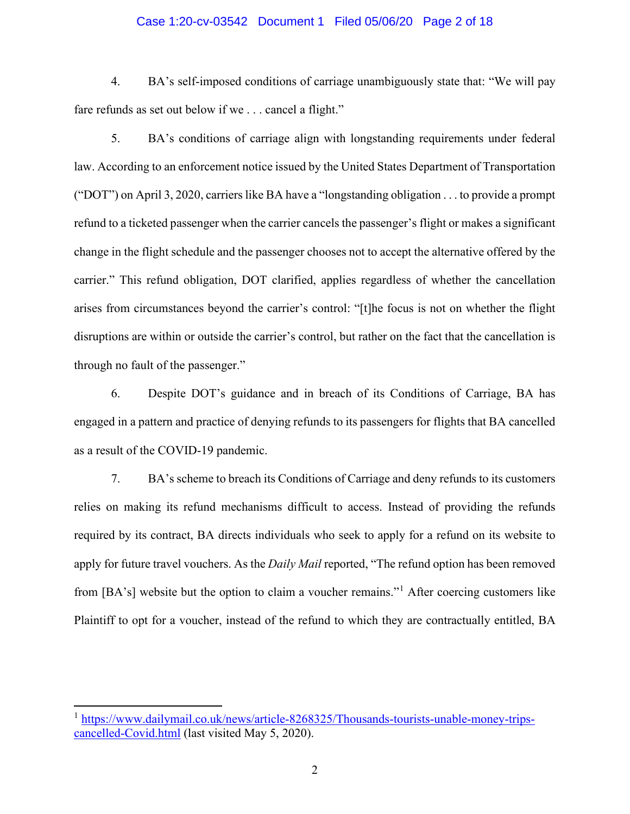#### Case 1:20-cv-03542 Document 1 Filed 05/06/20 Page 2 of 18

4. BA's self-imposed conditions of carriage unambiguously state that: "We will pay fare refunds as set out below if we . . . cancel a flight."

5. BA's conditions of carriage align with longstanding requirements under federal law. According to an enforcement notice issued by the United States Department of Transportation ("DOT") on April 3, 2020, carriers like BA have a "longstanding obligation . . . to provide a prompt refund to a ticketed passenger when the carrier cancels the passenger's flight or makes a significant change in the flight schedule and the passenger chooses not to accept the alternative offered by the carrier." This refund obligation, DOT clarified, applies regardless of whether the cancellation arises from circumstances beyond the carrier's control: "[t]he focus is not on whether the flight disruptions are within or outside the carrier's control, but rather on the fact that the cancellation is through no fault of the passenger."

6. Despite DOT's guidance and in breach of its Conditions of Carriage, BA has engaged in a pattern and practice of denying refunds to its passengers for flights that BA cancelled as a result of the COVID-19 pandemic.

7. BA's scheme to breach its Conditions of Carriage and deny refunds to its customers relies on making its refund mechanisms difficult to access. Instead of providing the refunds required by its contract, BA directs individuals who seek to apply for a refund on its website to apply for future travel vouchers. As the *Daily Mail* reported, "The refund option has been removed from [BA's] website but the option to claim a voucher remains."[1](#page-1-0) After coercing customers like Plaintiff to opt for a voucher, instead of the refund to which they are contractually entitled, BA

<span id="page-1-0"></span><sup>&</sup>lt;sup>1</sup> [https://www.dailymail.co.uk/news/article-8268325/Thousands-tourists-unable-money-trips](https://www.dailymail.co.uk/news/article-8268325/Thousands-tourists-unable-money-trips-cancelled-Covid.html)[cancelled-Covid.html](https://www.dailymail.co.uk/news/article-8268325/Thousands-tourists-unable-money-trips-cancelled-Covid.html) (last visited May 5, 2020).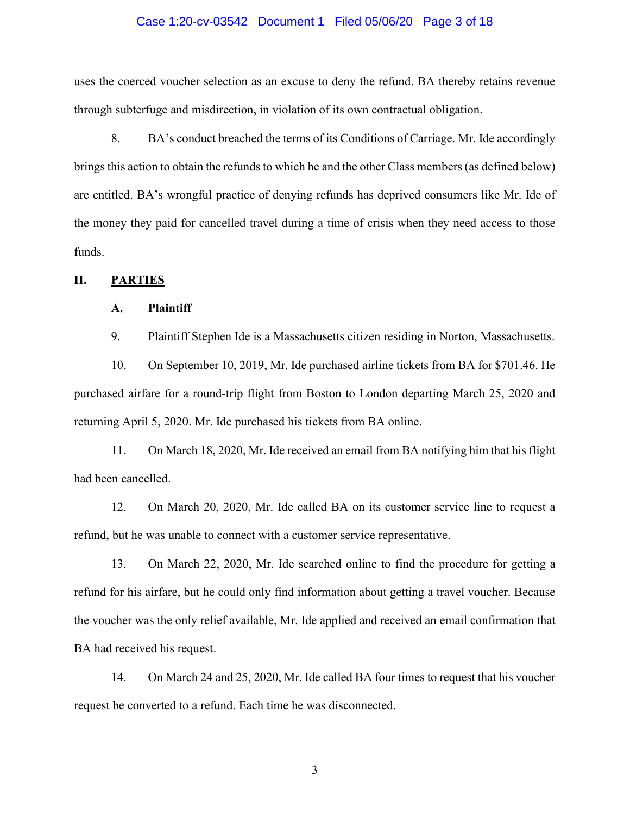### Case 1:20-cv-03542 Document 1 Filed 05/06/20 Page 3 of 18

uses the coerced voucher selection as an excuse to deny the refund. BA thereby retains revenue through subterfuge and misdirection, in violation of its own contractual obligation.

8. BA's conduct breached the terms of its Conditions of Carriage. Mr. Ide accordingly brings this action to obtain the refunds to which he and the other Class members (as defined below) are entitled. BA's wrongful practice of denying refunds has deprived consumers like Mr. Ide of the money they paid for cancelled travel during a time of crisis when they need access to those funds.

## **II. PARTIES**

# **A. Plaintiff**

9. Plaintiff Stephen Ide is a Massachusetts citizen residing in Norton, Massachusetts.

10. On September 10, 2019, Mr. Ide purchased airline tickets from BA for \$701.46. He purchased airfare for a round-trip flight from Boston to London departing March 25, 2020 and returning April 5, 2020. Mr. Ide purchased his tickets from BA online.

11. On March 18, 2020, Mr. Ide received an email from BA notifying him that his flight had been cancelled.

12. On March 20, 2020, Mr. Ide called BA on its customer service line to request a refund, but he was unable to connect with a customer service representative.

13. On March 22, 2020, Mr. Ide searched online to find the procedure for getting a refund for his airfare, but he could only find information about getting a travel voucher. Because the voucher was the only relief available, Mr. Ide applied and received an email confirmation that BA had received his request.

14. On March 24 and 25, 2020, Mr. Ide called BA four times to request that his voucher request be converted to a refund. Each time he was disconnected.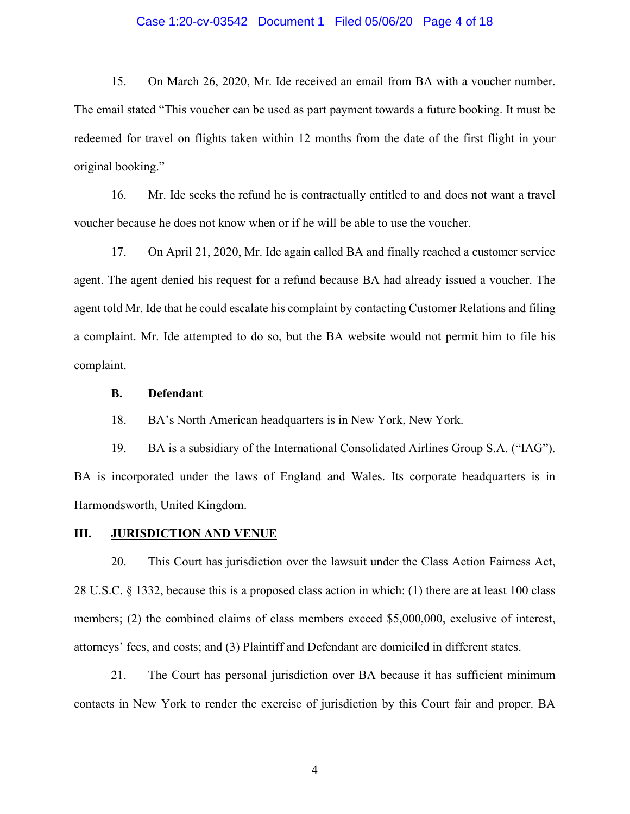### Case 1:20-cv-03542 Document 1 Filed 05/06/20 Page 4 of 18

15. On March 26, 2020, Mr. Ide received an email from BA with a voucher number. The email stated "This voucher can be used as part payment towards a future booking. It must be redeemed for travel on flights taken within 12 months from the date of the first flight in your original booking."

16. Mr. Ide seeks the refund he is contractually entitled to and does not want a travel voucher because he does not know when or if he will be able to use the voucher.

17. On April 21, 2020, Mr. Ide again called BA and finally reached a customer service agent. The agent denied his request for a refund because BA had already issued a voucher. The agent told Mr. Ide that he could escalate his complaint by contacting Customer Relations and filing a complaint. Mr. Ide attempted to do so, but the BA website would not permit him to file his complaint.

## **B. Defendant**

18. BA's North American headquarters is in New York, New York.

19. BA is a subsidiary of the International Consolidated Airlines Group S.A. ("IAG"). BA is incorporated under the laws of England and Wales. Its corporate headquarters is in Harmondsworth, United Kingdom.

# **III. JURISDICTION AND VENUE**

20. This Court has jurisdiction over the lawsuit under the Class Action Fairness Act, 28 U.S.C. § 1332, because this is a proposed class action in which: (1) there are at least 100 class members; (2) the combined claims of class members exceed \$5,000,000, exclusive of interest, attorneys' fees, and costs; and (3) Plaintiff and Defendant are domiciled in different states.

21. The Court has personal jurisdiction over BA because it has sufficient minimum contacts in New York to render the exercise of jurisdiction by this Court fair and proper. BA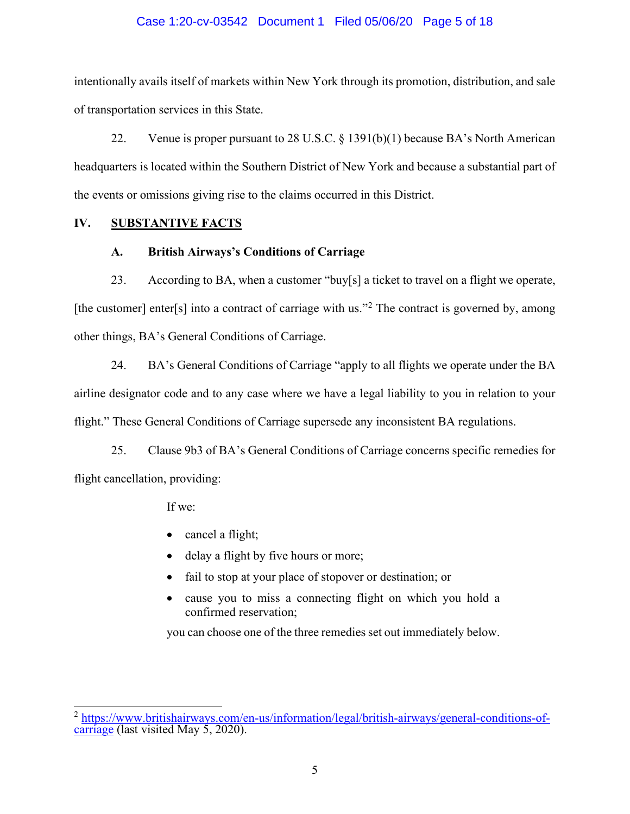# Case 1:20-cv-03542 Document 1 Filed 05/06/20 Page 5 of 18

intentionally avails itself of markets within New York through its promotion, distribution, and sale of transportation services in this State.

22. Venue is proper pursuant to 28 U.S.C. § 1391(b)(1) because BA's North American headquarters is located within the Southern District of New York and because a substantial part of the events or omissions giving rise to the claims occurred in this District.

# **IV. SUBSTANTIVE FACTS**

# **A. British Airways's Conditions of Carriage**

23. According to BA, when a customer "buy[s] a ticket to travel on a flight we operate, [the customer] enter[s] into a contract of carriage with us."<sup>[2](#page-4-0)</sup> The contract is governed by, among other things, BA's General Conditions of Carriage.

24. BA's General Conditions of Carriage "apply to all flights we operate under the BA airline designator code and to any case where we have a legal liability to you in relation to your flight." These General Conditions of Carriage supersede any inconsistent BA regulations.

25. Clause 9b3 of BA's General Conditions of Carriage concerns specific remedies for flight cancellation, providing:

If we:

- cancel a flight;
- delay a flight by five hours or more;
- fail to stop at your place of stopover or destination; or
- cause you to miss a connecting flight on which you hold a confirmed reservation;

you can choose one of the three remedies set out immediately below.

<span id="page-4-0"></span> $\frac{2 \text{ https://www.britishairways.com/en-us/information/legal/british-airways/general-conditions-of-carriage}$  $\frac{2 \text{ https://www.britishairways.com/en-us/information/legal/british-airways/general-conditions-of-carriage}$  $\frac{2 \text{ https://www.britishairways.com/en-us/information/legal/british-airways/general-conditions-of-carriage}$  $\frac{2 \text{ https://www.britishairways.com/en-us/information/legal/british-airways/general-conditions-of-carriage}$  (last visited May 5, 2020).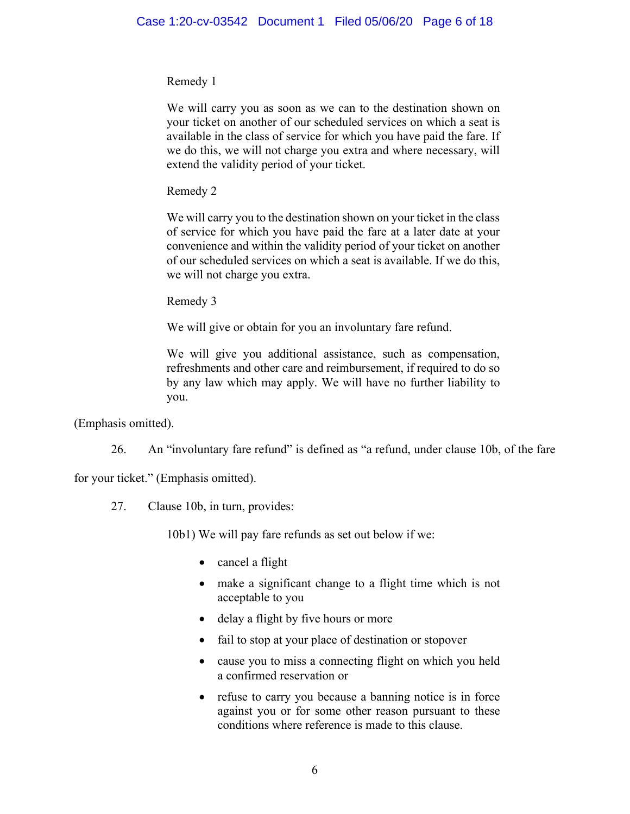# Remedy 1

We will carry you as soon as we can to the destination shown on your ticket on another of our scheduled services on which a seat is available in the class of service for which you have paid the fare. If we do this, we will not charge you extra and where necessary, will extend the validity period of your ticket.

Remedy 2

We will carry you to the destination shown on your ticket in the class of service for which you have paid the fare at a later date at your convenience and within the validity period of your ticket on another of our scheduled services on which a seat is available. If we do this, we will not charge you extra.

Remedy 3

We will give or obtain for you an involuntary fare refund.

We will give you additional assistance, such as compensation, refreshments and other care and reimbursement, if required to do so by any law which may apply. We will have no further liability to you.

(Emphasis omitted).

26. An "involuntary fare refund" is defined as "a refund, under clause 10b, of the fare

for your ticket." (Emphasis omitted).

27. Clause 10b, in turn, provides:

10b1) We will pay fare refunds as set out below if we:

- cancel a flight
- make a significant change to a flight time which is not acceptable to you
- delay a flight by five hours or more
- fail to stop at your place of destination or stopover
- cause you to miss a connecting flight on which you held a confirmed reservation or
- refuse to carry you because a banning notice is in force against you or for some other reason pursuant to these conditions where reference is made to this clause.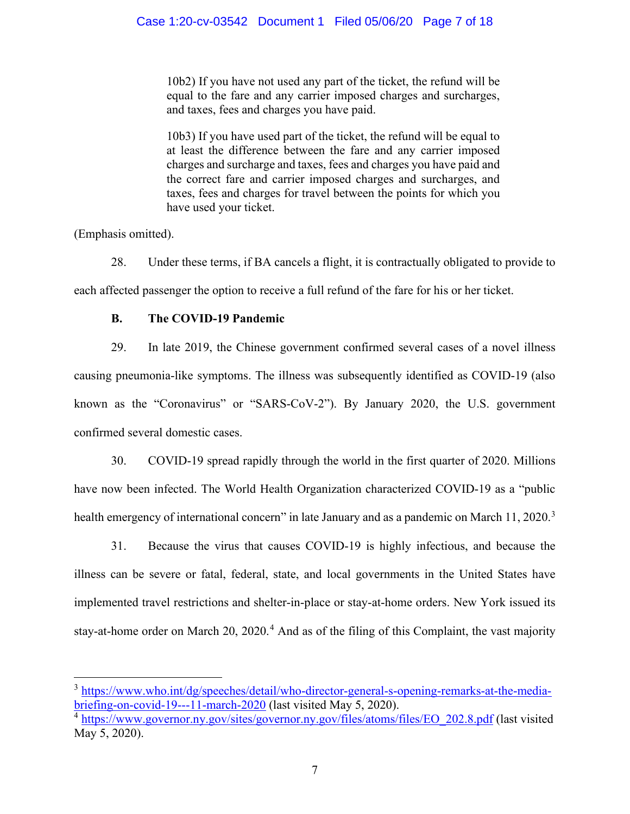10b2) If you have not used any part of the ticket, the refund will be equal to the fare and any carrier imposed charges and surcharges, and taxes, fees and charges you have paid.

10b3) If you have used part of the ticket, the refund will be equal to at least the difference between the fare and any carrier imposed charges and surcharge and taxes, fees and charges you have paid and the correct fare and carrier imposed charges and surcharges, and taxes, fees and charges for travel between the points for which you have used your ticket.

(Emphasis omitted).

28. Under these terms, if BA cancels a flight, it is contractually obligated to provide to each affected passenger the option to receive a full refund of the fare for his or her ticket.

# **B. The COVID-19 Pandemic**

29. In late 2019, the Chinese government confirmed several cases of a novel illness causing pneumonia-like symptoms. The illness was subsequently identified as COVID-19 (also known as the "Coronavirus" or "SARS-CoV-2"). By January 2020, the U.S. government confirmed several domestic cases.

30. COVID-19 spread rapidly through the world in the first quarter of 2020. Millions have now been infected. The World Health Organization characterized COVID-19 as a "public health emergency of international concern" in late January and as a pandemic on March 11, 2020.<sup>[3](#page-6-0)</sup>

31. Because the virus that causes COVID-19 is highly infectious, and because the illness can be severe or fatal, federal, state, and local governments in the United States have implemented travel restrictions and shelter-in-place or stay-at-home orders. New York issued its stay-at-home order on March  $20$ ,  $2020<sup>4</sup>$  $2020<sup>4</sup>$  $2020<sup>4</sup>$  And as of the filing of this Complaint, the vast majority

<span id="page-6-0"></span><sup>&</sup>lt;sup>3</sup> [https://www.who.int/dg/speeches/detail/who-director-general-s-opening-remarks-at-the-media](https://www.who.int/dg/speeches/detail/who-director-general-s-opening-remarks-at-the-media-briefing-on-covid-19---11-march-2020)[briefing-on-covid-19---11-march-2020](https://www.who.int/dg/speeches/detail/who-director-general-s-opening-remarks-at-the-media-briefing-on-covid-19---11-march-2020) (last visited May 5, 2020).

<span id="page-6-1"></span><sup>4</sup> [https://www.governor.ny.gov/sites/governor.ny.gov/files/atoms/files/EO\\_202.8.pdf](https://www.governor.ny.gov/sites/governor.ny.gov/files/atoms/files/EO_202.8.pdf) (last visited May 5, 2020).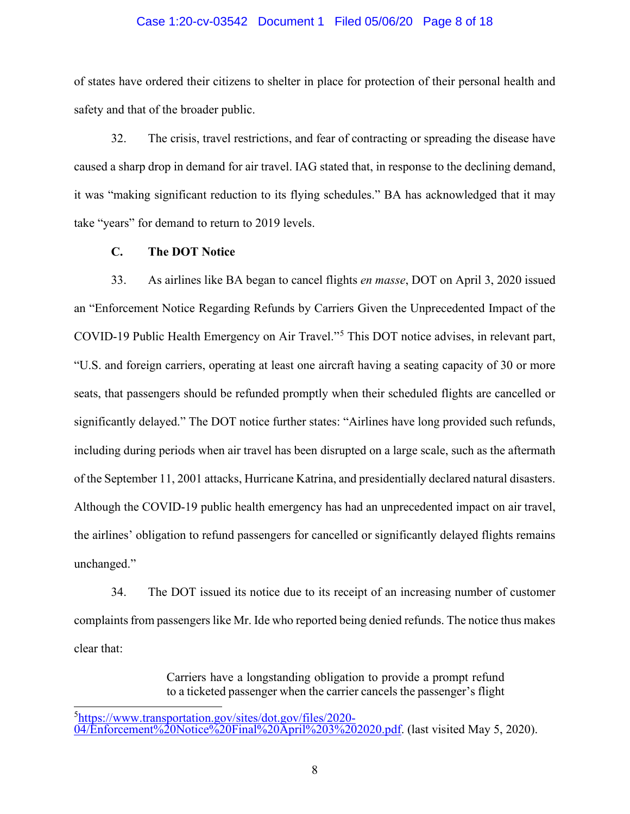### Case 1:20-cv-03542 Document 1 Filed 05/06/20 Page 8 of 18

of states have ordered their citizens to shelter in place for protection of their personal health and safety and that of the broader public.

32. The crisis, travel restrictions, and fear of contracting or spreading the disease have caused a sharp drop in demand for air travel. IAG stated that, in response to the declining demand, it was "making significant reduction to its flying schedules." BA has acknowledged that it may take "years" for demand to return to 2019 levels.

## **C. The DOT Notice**

33. As airlines like BA began to cancel flights *en masse*, DOT on April 3, 2020 issued an "Enforcement Notice Regarding Refunds by Carriers Given the Unprecedented Impact of the COVID-19 Public Health Emergency on Air Travel."[5](#page-7-0) This DOT notice advises, in relevant part, "U.S. and foreign carriers, operating at least one aircraft having a seating capacity of 30 or more seats, that passengers should be refunded promptly when their scheduled flights are cancelled or significantly delayed." The DOT notice further states: "Airlines have long provided such refunds, including during periods when air travel has been disrupted on a large scale, such as the aftermath of the September 11, 2001 attacks, Hurricane Katrina, and presidentially declared natural disasters. Although the COVID-19 public health emergency has had an unprecedented impact on air travel, the airlines' obligation to refund passengers for cancelled or significantly delayed flights remains unchanged."

34. The DOT issued its notice due to its receipt of an increasing number of customer complaints from passengers like Mr. Ide who reported being denied refunds. The notice thus makes clear that:

> Carriers have a longstanding obligation to provide a prompt refund to a ticketed passenger when the carrier cancels the passenger's flight

<span id="page-7-0"></span><sup>&</sup>lt;sup>5</sup>https://www.transportation.gov/sites/dot.gov/files/2020-

 $\overline{04/Enforcement\%20Notice\%20Final\%20April\%203\%2020.}$  pdf. (last visited May 5, 2020).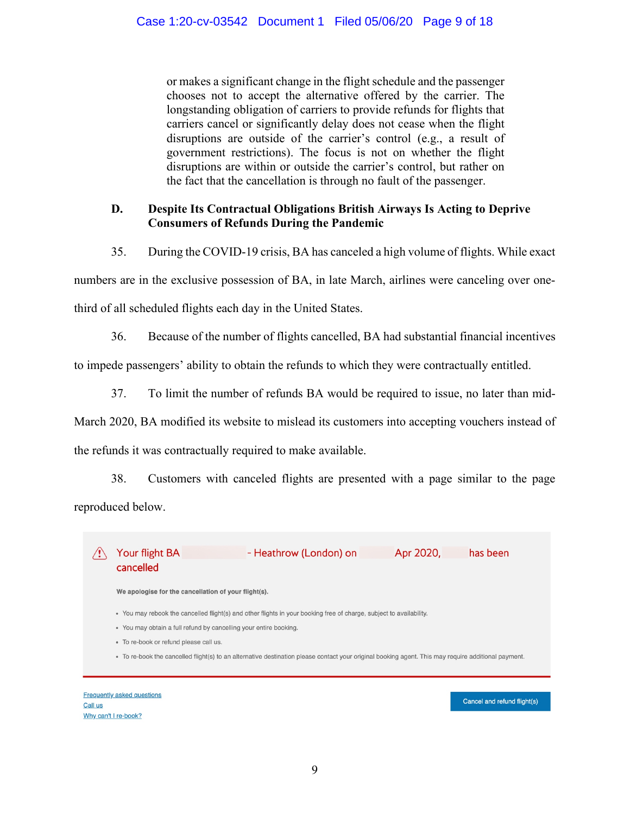or makes a significant change in the flight schedule and the passenger chooses not to accept the alternative offered by the carrier. The longstanding obligation of carriers to provide refunds for flights that carriers cancel or significantly delay does not cease when the flight disruptions are outside of the carrier's control (e.g., a result of government restrictions). The focus is not on whether the flight disruptions are within or outside the carrier's control, but rather on the fact that the cancellation is through no fault of the passenger.

# **D. Despite Its Contractual Obligations British Airways Is Acting to Deprive Consumers of Refunds During the Pandemic**

35. During the COVID-19 crisis, BA has canceled a high volume of flights. While exact numbers are in the exclusive possession of BA, in late March, airlines were canceling over one-

third of all scheduled flights each day in the United States.

36. Because of the number of flights cancelled, BA had substantial financial incentives

to impede passengers' ability to obtain the refunds to which they were contractually entitled.

37. To limit the number of refunds BA would be required to issue, no later than mid-

March 2020, BA modified its website to mislead its customers into accepting vouchers instead of the refunds it was contractually required to make available.

38. Customers with canceled flights are presented with a page similar to the page reproduced below.

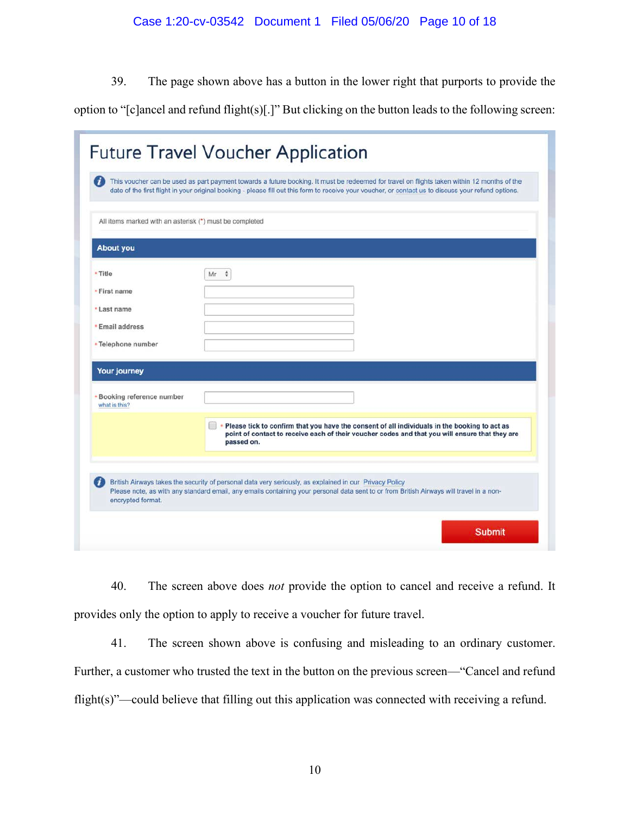39. The page shown above has a button in the lower right that purports to provide the

option to "[c]ancel and refund flight(s)[.]" But clicking on the button leads to the following screen:

|                                                         | This voucher can be used as part payment towards a future booking. It must be redeemed for travel on flights taken within 12 months of the<br>date of the first flight in your original booking - please fill out this form to receive your voucher, or contact us to discuss your refund options. |
|---------------------------------------------------------|----------------------------------------------------------------------------------------------------------------------------------------------------------------------------------------------------------------------------------------------------------------------------------------------------|
| All items marked with an asterisk (*) must be completed |                                                                                                                                                                                                                                                                                                    |
| <b>About you</b>                                        |                                                                                                                                                                                                                                                                                                    |
| * Title                                                 | ÷<br>Mr                                                                                                                                                                                                                                                                                            |
| · First name                                            |                                                                                                                                                                                                                                                                                                    |
| *Last name                                              |                                                                                                                                                                                                                                                                                                    |
| <b>*Email address</b>                                   |                                                                                                                                                                                                                                                                                                    |
| *Telephone number                                       |                                                                                                                                                                                                                                                                                                    |
| <b>Your journey</b>                                     |                                                                                                                                                                                                                                                                                                    |
| <b>*Booking reference number</b><br>what is this?       |                                                                                                                                                                                                                                                                                                    |
|                                                         | * Please tick to confirm that you have the consent of all individuals in the booking to act as<br>point of contact to receive each of their voucher codes and that you will ensure that they are<br>passed on.                                                                                     |
|                                                         | British Airways takes the security of personal data very seriously, as explained in our Privacy Policy<br>Please note, as with any standard email, any emails containing your personal data sent to or from British Airways will travel in a non-                                                  |

40. The screen above does *not* provide the option to cancel and receive a refund. It provides only the option to apply to receive a voucher for future travel.

41. The screen shown above is confusing and misleading to an ordinary customer. Further, a customer who trusted the text in the button on the previous screen—"Cancel and refund flight(s)"—could believe that filling out this application was connected with receiving a refund.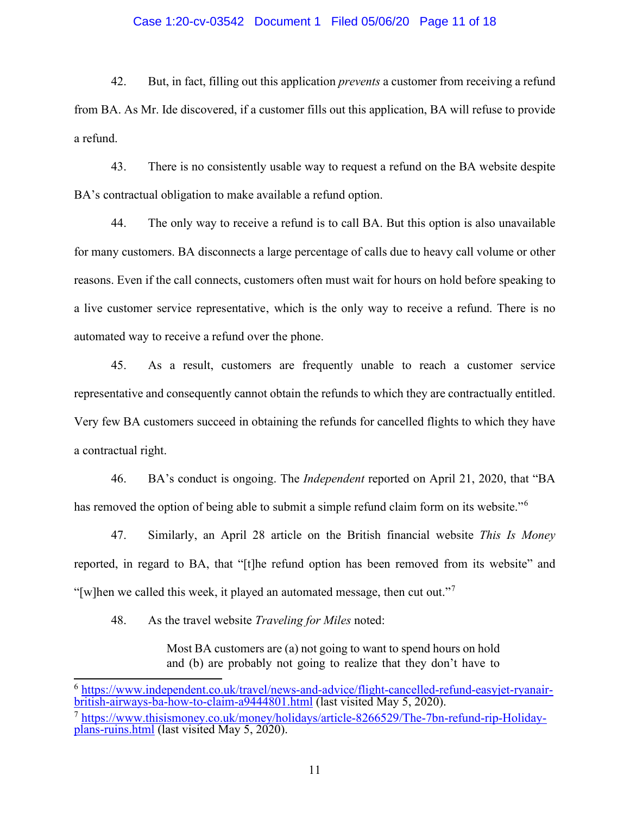### Case 1:20-cv-03542 Document 1 Filed 05/06/20 Page 11 of 18

42. But, in fact, filling out this application *prevents* a customer from receiving a refund from BA. As Mr. Ide discovered, if a customer fills out this application, BA will refuse to provide a refund.

43. There is no consistently usable way to request a refund on the BA website despite BA's contractual obligation to make available a refund option.

44. The only way to receive a refund is to call BA. But this option is also unavailable for many customers. BA disconnects a large percentage of calls due to heavy call volume or other reasons. Even if the call connects, customers often must wait for hours on hold before speaking to a live customer service representative, which is the only way to receive a refund. There is no automated way to receive a refund over the phone.

45. As a result, customers are frequently unable to reach a customer service representative and consequently cannot obtain the refunds to which they are contractually entitled. Very few BA customers succeed in obtaining the refunds for cancelled flights to which they have a contractual right.

46. BA's conduct is ongoing. The *Independent* reported on April 21, 2020, that "BA has removed the option of being able to submit a simple refund claim form on its website."<sup>[6](#page-10-0)</sup>

47. Similarly, an April 28 article on the British financial website *This Is Money* reported, in regard to BA, that "[t]he refund option has been removed from its website" and "[w]hen we called this week, it played an automated message, then cut out."<sup>[7](#page-10-1)</sup>

48. As the travel website *Traveling for Miles* noted:

Most BA customers are (a) not going to want to spend hours on hold and (b) are probably not going to realize that they don't have to

<span id="page-10-0"></span> $^6$  [https://www.independent.co.uk/travel/news-and-advice/flight-cancelled-refund-easyjet-ryanair-](https://www.independent.co.uk/travel/news-and-advice/flight-cancelled-refund-easyjet-ryanair-british-airways-ba-how-to-claim-a9444801.html)<br>[british-airways-ba-how-to-claim-a9444801.html](https://www.independent.co.uk/travel/news-and-advice/flight-cancelled-refund-easyjet-ryanair-british-airways-ba-how-to-claim-a9444801.html) (last visited May 5, 2020).

<span id="page-10-1"></span><sup>7</sup> [https://www.thisismoney.co.uk/money/holidays/article-8266529/The-7bn-refund-rip-Holiday-](https://www.thisismoney.co.uk/money/holidays/article-8266529/The-7bn-refund-rip-Holiday-plans-ruins.html) [plans-ruins.html](https://www.thisismoney.co.uk/money/holidays/article-8266529/The-7bn-refund-rip-Holiday-plans-ruins.html) (last visited May 5, 2020).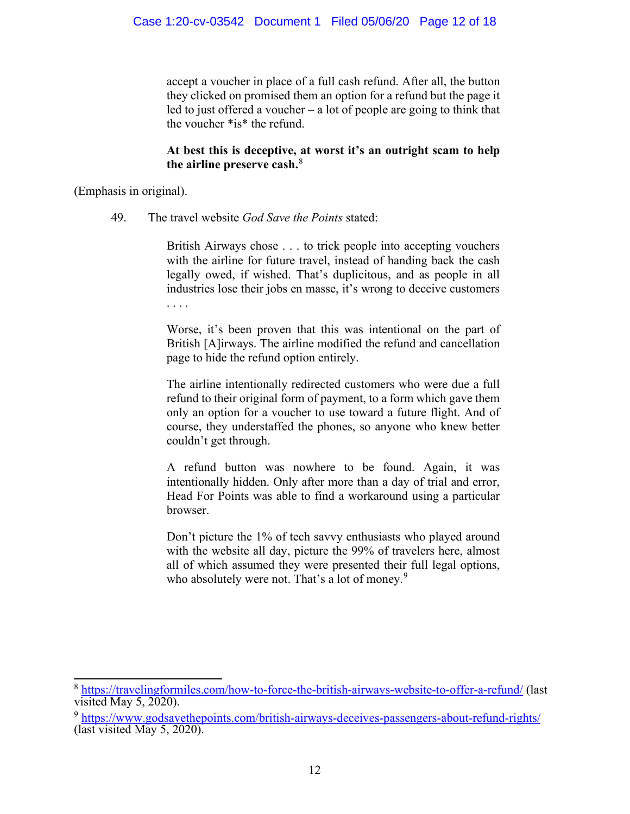accept a voucher in place of a full cash refund. After all, the button they clicked on promised them an option for a refund but the page it led to just offered a voucher – a lot of people are going to think that the voucher \*is\* the refund.

# **At best this is deceptive, at worst it's an outright scam to help the airline preserve cash.**[8](#page-11-0)

(Emphasis in original).

49. The travel website *God Save the Points* stated:

British Airways chose . . . to trick people into accepting vouchers with the airline for future travel, instead of handing back the cash legally owed, if wished. That's duplicitous, and as people in all industries lose their jobs en masse, it's wrong to deceive customers . . . .

Worse, it's been proven that this was intentional on the part of British [A]irways. The airline modified the refund and cancellation page to hide the refund option entirely.

The airline intentionally redirected customers who were due a full refund to their original form of payment, to a form which gave them only an option for a voucher to use toward a future flight. And of course, they understaffed the phones, so anyone who knew better couldn't get through.

A refund button was nowhere to be found. Again, it was intentionally hidden. Only after more than a day of trial and error, Head For Points was able to find a workaround using a particular browser.

Don't picture the 1% of tech savvy enthusiasts who played around with the website all day, picture the 99% of travelers here, almost all of which assumed they were presented their full legal options, who absolutely were not. That's a lot of money.<sup>[9](#page-11-1)</sup>

<span id="page-11-0"></span><sup>8</sup> <https://travelingformiles.com/how-to-force-the-british-airways-website-to-offer-a-refund/> (last visited May  $5, 2020$ ).

<span id="page-11-1"></span><sup>9</sup> <https://www.godsavethepoints.com/british-airways-deceives-passengers-about-refund-rights/> (last visited May 5, 2020).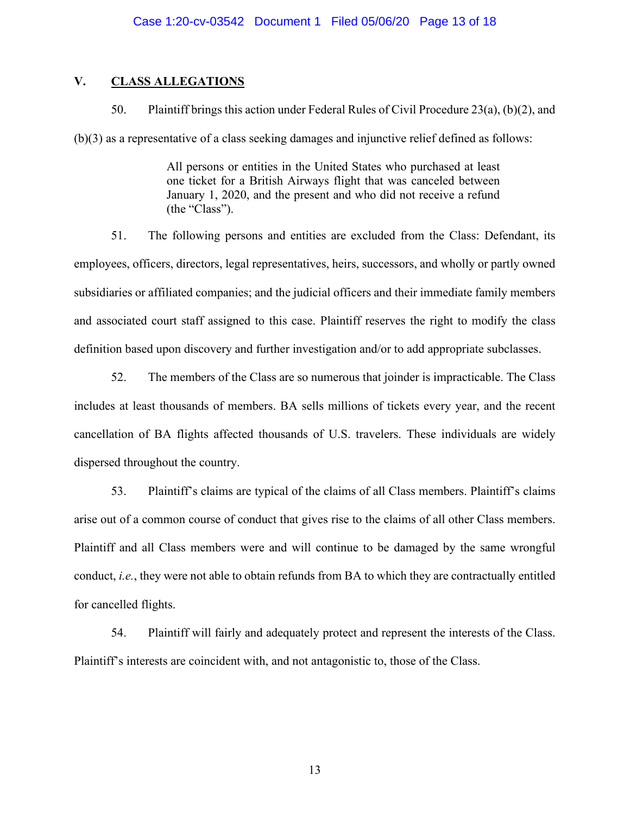# **V. CLASS ALLEGATIONS**

50. Plaintiff brings this action under Federal Rules of Civil Procedure 23(a), (b)(2), and (b)(3) as a representative of a class seeking damages and injunctive relief defined as follows:

> All persons or entities in the United States who purchased at least one ticket for a British Airways flight that was canceled between January 1, 2020, and the present and who did not receive a refund (the "Class").

51. The following persons and entities are excluded from the Class: Defendant, its employees, officers, directors, legal representatives, heirs, successors, and wholly or partly owned subsidiaries or affiliated companies; and the judicial officers and their immediate family members and associated court staff assigned to this case. Plaintiff reserves the right to modify the class definition based upon discovery and further investigation and/or to add appropriate subclasses.

52. The members of the Class are so numerous that joinder is impracticable. The Class includes at least thousands of members. BA sells millions of tickets every year, and the recent cancellation of BA flights affected thousands of U.S. travelers. These individuals are widely dispersed throughout the country.

53. Plaintiff's claims are typical of the claims of all Class members. Plaintiff's claims arise out of a common course of conduct that gives rise to the claims of all other Class members. Plaintiff and all Class members were and will continue to be damaged by the same wrongful conduct, *i.e.*, they were not able to obtain refunds from BA to which they are contractually entitled for cancelled flights.

54. Plaintiff will fairly and adequately protect and represent the interests of the Class. Plaintiff's interests are coincident with, and not antagonistic to, those of the Class.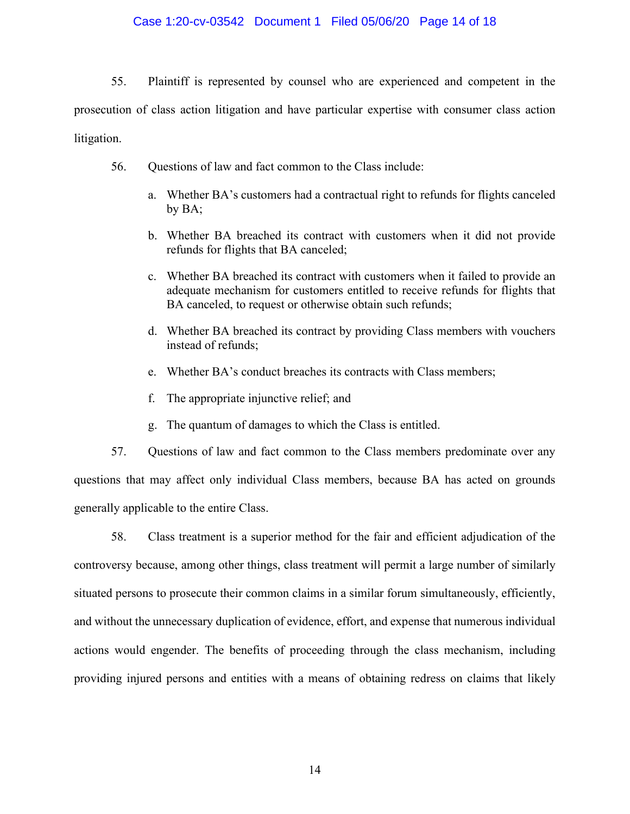## Case 1:20-cv-03542 Document 1 Filed 05/06/20 Page 14 of 18

55. Plaintiff is represented by counsel who are experienced and competent in the prosecution of class action litigation and have particular expertise with consumer class action litigation.

- 56. Questions of law and fact common to the Class include:
	- a. Whether BA's customers had a contractual right to refunds for flights canceled by BA;
	- b. Whether BA breached its contract with customers when it did not provide refunds for flights that BA canceled;
	- c. Whether BA breached its contract with customers when it failed to provide an adequate mechanism for customers entitled to receive refunds for flights that BA canceled, to request or otherwise obtain such refunds;
	- d. Whether BA breached its contract by providing Class members with vouchers instead of refunds;
	- e. Whether BA's conduct breaches its contracts with Class members;
	- f. The appropriate injunctive relief; and
	- g. The quantum of damages to which the Class is entitled.

57. Questions of law and fact common to the Class members predominate over any questions that may affect only individual Class members, because BA has acted on grounds generally applicable to the entire Class.

58. Class treatment is a superior method for the fair and efficient adjudication of the controversy because, among other things, class treatment will permit a large number of similarly situated persons to prosecute their common claims in a similar forum simultaneously, efficiently, and without the unnecessary duplication of evidence, effort, and expense that numerous individual actions would engender. The benefits of proceeding through the class mechanism, including providing injured persons and entities with a means of obtaining redress on claims that likely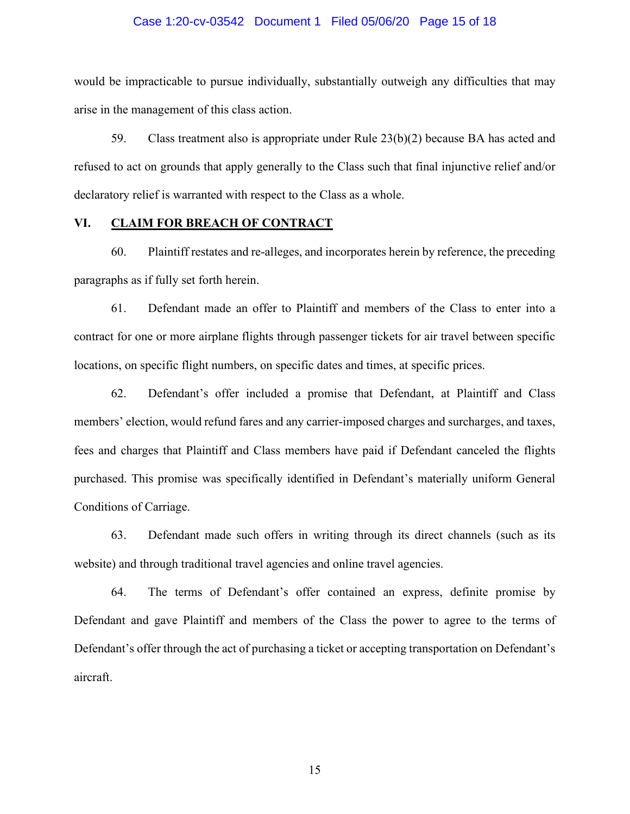### Case 1:20-cv-03542 Document 1 Filed 05/06/20 Page 15 of 18

would be impracticable to pursue individually, substantially outweigh any difficulties that may arise in the management of this class action.

59. Class treatment also is appropriate under Rule 23(b)(2) because BA has acted and refused to act on grounds that apply generally to the Class such that final injunctive relief and/or declaratory relief is warranted with respect to the Class as a whole.

## **VI. CLAIM FOR BREACH OF CONTRACT**

60. Plaintiff restates and re-alleges, and incorporates herein by reference, the preceding paragraphs as if fully set forth herein.

61. Defendant made an offer to Plaintiff and members of the Class to enter into a contract for one or more airplane flights through passenger tickets for air travel between specific locations, on specific flight numbers, on specific dates and times, at specific prices.

62. Defendant's offer included a promise that Defendant, at Plaintiff and Class members' election, would refund fares and any carrier-imposed charges and surcharges, and taxes, fees and charges that Plaintiff and Class members have paid if Defendant canceled the flights purchased. This promise was specifically identified in Defendant's materially uniform General Conditions of Carriage.

63. Defendant made such offers in writing through its direct channels (such as its website) and through traditional travel agencies and online travel agencies.

64. The terms of Defendant's offer contained an express, definite promise by Defendant and gave Plaintiff and members of the Class the power to agree to the terms of Defendant's offer through the act of purchasing a ticket or accepting transportation on Defendant's aircraft.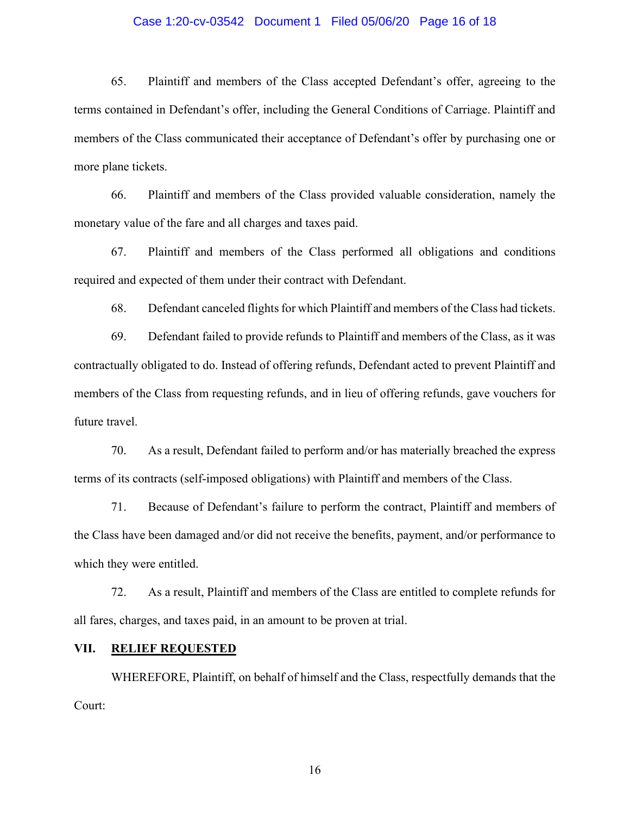### Case 1:20-cv-03542 Document 1 Filed 05/06/20 Page 16 of 18

65. Plaintiff and members of the Class accepted Defendant's offer, agreeing to the terms contained in Defendant's offer, including the General Conditions of Carriage. Plaintiff and members of the Class communicated their acceptance of Defendant's offer by purchasing one or more plane tickets.

66. Plaintiff and members of the Class provided valuable consideration, namely the monetary value of the fare and all charges and taxes paid.

67. Plaintiff and members of the Class performed all obligations and conditions required and expected of them under their contract with Defendant.

68. Defendant canceled flights for which Plaintiff and members of the Class had tickets.

69. Defendant failed to provide refunds to Plaintiff and members of the Class, as it was contractually obligated to do. Instead of offering refunds, Defendant acted to prevent Plaintiff and members of the Class from requesting refunds, and in lieu of offering refunds, gave vouchers for future travel.

70. As a result, Defendant failed to perform and/or has materially breached the express terms of its contracts (self-imposed obligations) with Plaintiff and members of the Class.

71. Because of Defendant's failure to perform the contract, Plaintiff and members of the Class have been damaged and/or did not receive the benefits, payment, and/or performance to which they were entitled.

72. As a result, Plaintiff and members of the Class are entitled to complete refunds for all fares, charges, and taxes paid, in an amount to be proven at trial.

### **VII. RELIEF REQUESTED**

WHEREFORE, Plaintiff, on behalf of himself and the Class, respectfully demands that the Court: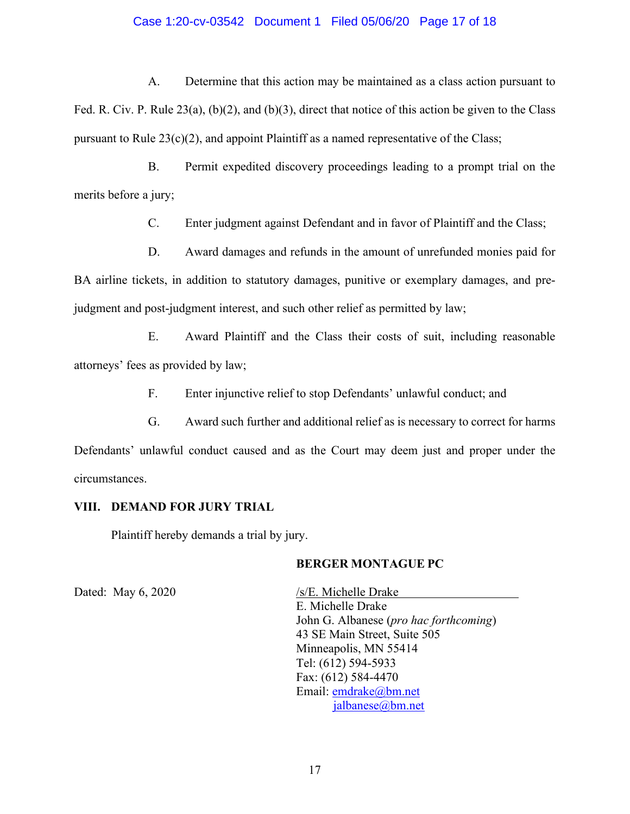### Case 1:20-cv-03542 Document 1 Filed 05/06/20 Page 17 of 18

A. Determine that this action may be maintained as a class action pursuant to Fed. R. Civ. P. Rule 23(a), (b)(2), and (b)(3), direct that notice of this action be given to the Class pursuant to Rule  $23(c)(2)$ , and appoint Plaintiff as a named representative of the Class;

B. Permit expedited discovery proceedings leading to a prompt trial on the merits before a jury;

C. Enter judgment against Defendant and in favor of Plaintiff and the Class;

D. Award damages and refunds in the amount of unrefunded monies paid for BA airline tickets, in addition to statutory damages, punitive or exemplary damages, and prejudgment and post-judgment interest, and such other relief as permitted by law;

E. Award Plaintiff and the Class their costs of suit, including reasonable attorneys' fees as provided by law;

F. Enter injunctive relief to stop Defendants' unlawful conduct; and

G. Award such further and additional relief as is necessary to correct for harms Defendants' unlawful conduct caused and as the Court may deem just and proper under the circumstances.

## **VIII. DEMAND FOR JURY TRIAL**

Plaintiff hereby demands a trial by jury.

## **BERGER MONTAGUE PC**

Dated: May 6, 2020 /s/E. Michelle Drake E. Michelle Drake John G. Albanese (*pro hac forthcoming*) 43 SE Main Street, Suite 505 Minneapolis, MN 55414 Tel: (612) 594-5933 Fax: (612) 584-4470 Email: [emdrake@bm.net](mailto:emdrake@bm.net) [jalbanese@bm.net](mailto:jalbanese@bm.net)